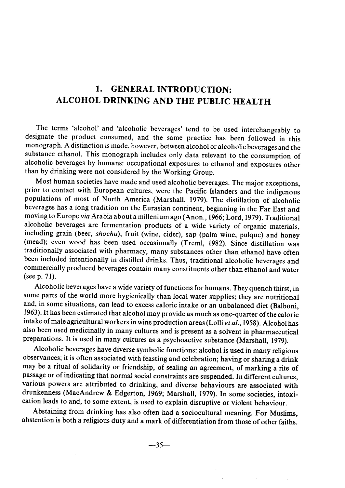## 1. GENERAL INTRODUCTION: ALCOHOL DRINKING AND THE PUBLIC HEALTH

The terms 'a1cohol' and 'a1coholic beverages' tend to be used interchangeably to designate the product consumed, and the same practice has been followed in this monograph. A distinction is made, however, between alcohol or alcoholic beverages and the substance ethanol. This monograph includes only data relevant to the consumption of alcoholic beverages by humans: occupational exposures to ethanol and exposures other than by drinking were not considered by the Working Group.

Most human societies have made and used alcoholic beverages. The major exceptions, prior to contact with European cultures, were the Pacifie Islanders and the indigenous populations of most of North America (MarshalI, 1979). The distilation of alcoholic beverages has a long tradition on the Eurasian continent, beginning in the Far East and moving to Europe via Arabia about a milenium ago (Anon., 1966; Lord, 1979). Traditional alcoholic beverages are fermentation products of a wide variety of organic materials, including grain (beer, shochu), fruit (wine, cider), sap (palm wine, pulque) and honey (mead); even wood has been used occasionally (Treml, 1982). Since distilation was traditionally associated with pharmacy, many substances other than ethanol have often been included intentionally in distilled drinks. Thus, traditional alcoholic beverages and commercially produced beverages contain many constituents other than ethanol and water (see p. 71).

Alcoholic beverages have a wide variety of functions for humans. They quench thirst, in some parts of the world more hygienically than local water supplies; they are nutritional and, in some situations, can lead to excess caloric intake or an unbalanced diet (Balboni, 1963). It has been estimated that a1cohol may provide as much as one-quarter of the calorie intake of male agricultural workers in wine production areas (Lolli et al., 1958). Alcohol has also been used medicinally in many cultures and is present as a solvent in pharmaceutical preparations. It is used in many cultures as a psychoactive substance (Marshall, 1979).

Alcoholic beverages have diverse symbolic functions: alcohol is used in many religious observances; it is often associated with feasting and celebration; having or sharing a drink may be a ritual of solidarity or friendship, of sealing an agreement, of marking a rite of passage or of indicating that normal social constraints are suspended. ln different cultures, various powers are attributed to drinking, and diverse behaviours are associated with drunkenness (MacAndrew & Edgerton, 1969; Marshall, 1979). ln some societies, intoxication leads to and, to some extent, is used to explain disruptive or violent behaviour.

Abstaining from drinking has also often had a sociocultural meaning. For Muslims, abstention is both a religious duty and a mark of differentiation from those of other faiths.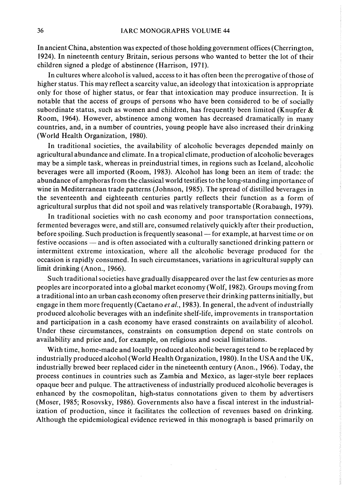ln ancient China, abstention was expected of those holding government offices (Cherrington, 1924). ln nineteenth century Britain, serious persons who wanted to better the lot of their children signed a pledge of abstinence (Harrison, 1971).

In cultures where alcohol is valued, access to it has often been the prerogative of those of higher status. This may reflect a scarcity value, an ideology that intoxication is appropriate only for those of higher status, or fear that intoxication may produce insurrection. It is notable that the access of groups of persons who have been considered to be of socially subordinate status, such as women and children, has frequently been limited (Knupfer  $\&$ Room, 1964). However, abstinence among women has decreased dramatically in many countries, and, in a number of countries, young people have also increased their drinking (World Health Organization, 1980).

ln traditional societies, the availability of alcoholic beverages depended mainly on agricultural abundance and climate. ln a tropical climate, production of alcoholic beverages may be a simple task, whereas in preindustrial times, in regions such as Iceland, alcoholic beverages were alI imported (Room, 1983). A1cohol has long been an item of trade: the abundance of amphoras from the classical world testifies to the long-standing importance of wine in Mediterranean trade patterns (Johnson, 1985). The spread of distiled beverages in the seventeenth and eighteenth centuries partly reflects their function as a form of agricultural surplus that did not spoil and was relatively transportable (Rorabaugh, 1979).

ln traditional societies with no cash economy and poor transportation connections, fermented beverages were, and still are, consumed relatively quickly after their production, before spoiling. Such production is frequently seasonal — for example, at harvest time or on festive occasions — and is often associated with a culturally sanctioned drinking pattern or intermittent extreme intoxication, where all the alcoholic beverage produced for the occasion is rapidly consumed. ln such circumstances, variations in agricultural supply can limit drinking (Anon., 1966).

Such traditional societies have gradualIy disappeared over the last few centuries as more peoples are incorporated into a global market economy (Wolf, 1982). Groups moving from a traditional into an urban cash economy often preserve their drinking patterns initially, but engage in them more frequently (Caetano et al., 1983). In general, the advent of industrially produced alcoholic beverages with an indefinite shelf-life, improvements in transportation and participation in a cash economy have erased constraints on availability of alcohol. Under these circumstances, constraints on consumption depend on state controls on availability and price and, for example, on religious and social limitations.

With time, home-made and locally produced alcoholic beverages tend to be replaced by industrially produced alcohol (World Health Organization, 1980). In the USA and the UK, industrialIy brewed beer replaced cider in the nineteenth century (Anon., 1966). Today, the process continues in countries such as Zambia and Mexico, as lager-style beer replaces opaque beer and pulque. The attractiveness of industrialIy produced alcoholic beverages is enhanced by the cosmopolitan, high-status connotations given to them by advertisers (Moser, 1985; Rosovsky, 1986). Governments also have a fiscal interest in the industrialization of production, since it facilitates the collection of revenues based on drinking. Although the epidemiological evidence reviewed in this monograph is based primarily on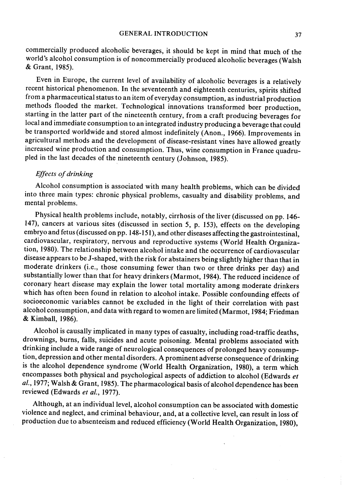commercialIy produced a1coholic beverages, it should be kept in mind that much of the world's alcohol consumption is of noncommercially produced alcoholic beverages (Walsh & Grant, 1985).

Even in Europe, the current level of availabilty of alcoholic beverages is a relatively recent historical phenomenon. ln the seventeenth and eighteenth centuries, spirits shifted from a pharmaceutical status to an item of everyday consumption, as industrial production methods flooded the market. Technological innovations transformed beer production, starting in the latter part of the nineteenth century, from a craft producing beverages for local and immediate consumption to an integrated industry producing a beverage that could be transported worldwide and stored almost indefinitely (Anon., 1966). Improvements in agricultural methods and the development of disease-resistant vines have allowed greatly increased wine production and consumption. Thus, wine consumption in France quadrupled in the last decades of the nineteenth century (Johnson, 1985).

## Effects of drinking

Alcohol consumption is associated with many health problems, which can be divided into three main types: chronic physical problems, casualty and disability problems, and mental problems.

Physical health problems include, notably, cirrhosis of the liver (discussed on pp. 146-147), cancers at various sites (discussed in section 5, p. 153), effects on the developing embryo and fetus (discussed on pp. 148-151), and other diseases affecting the gastrointestinal, cardiovascular, respiratory, nervous and reproductive systems (World Health Organization, 1980). The relationship between a1cohol intake and the occurrence of cardiovascular disease appears to be J-shaped, with the risk for abstainers being slightly higher than that in moderate drinkers (i.e., those consuming fewer than two or three drinks per day) and substantially lower than that for heavy drinkers (Marmot, 1984). The reduced incidence of coronary heart disease may explain the lower total mortality among moderate drinkers which has often been found in relation to alcohol intake. Possible confounding effects of socioeconomic variables cannot be excluded in the light of their correlation with past alcohol consumption, and data with regard to women are limited (Marmot, 1984; Friedman & Kimball, 1986).

Alcohol is causally implicated in many types of casualty, including road-traffic deaths, drownings, burns, falls, suicides and acute poisoning. Mental problems associated with drinking include a wide range of neurological consequences of prolonged heavy consumption, depression and other mental disorders. A prominent adverse consequence of drinking is the alcohol dependence syndrome (World Health Organization, 1980), a term which encompasses both physical and psychological aspects of addiction to alcohol (Edwards et al., 1977; Walsh & Grant, 1985). The pharmacological basis of alcohol dependence has been reviewed (Edwards et al., 1977).

Although, at an individual level, alcohol consumption can be associated with domestic violence and neglect, and crimina1 behaviour, and, at a collective level, can result in loss of production due to absenteeism and reduced efficiency (World Hea1th Organization, 1980),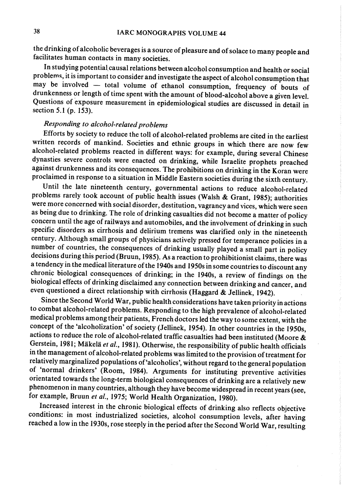the drinking of alcoholic beverages is a source of pleasure and of solace to many people and facilitates human contacts in many societies.

In studying potential causal relations between alcohol consumption and health or social problems, it is important to consider and investigate the aspect of alcohol consumption that may be involved - total volume of ethanol consumption, frequency of bouts of drunkenness or length of time spent with the amount of blood-alcohol above a given leveL. Questions of exposure measurement in epidemiological studies are discussed in detail in section 5.1 (p. 153).

## Responding to alcohol-related problems

Efforts by society to reduce the tolI of alcohol-related problems are cited in the earliest written records of mankind. Societies and ethnie groups in which there are now few alcohol-related problems reacted in different ways: for example, during several Chinese dynasties severe controls were enacted on drinking, while Israelite prophets preached against drunkenness and its consequences. The prohibitions on drinking in the Koran were proclaimed in response to a situation in Middle Eastern societies during the sixth century.

Until the 1ate nineteenth century, governmental actions to reduce alcohol-related problems rarely took account of public health issues (Walsh & Grant, 1985); authorities were more concerned with social disorder, destitution, vagrancy and vices, which were seen as being due to drinking. The role of drinking casualties did not become a matter of policy concern until the age of railways and automobiles, and the involvement of drinking in such specific disorders as cirrhosis and delirium tremens was clarified only in the nineteenth century. Although small groups of physicians actively pressed for temperance policies in a number of countries, the consequences of drinking usually played a small part in policy decisions during this period (Bruun, 1985). As a reaction to prohibitionist claims, there was a tendency in the medical literature of the 1940s and 1950s in some countries to discount any chronic biological consequences of drinking; in the 1940s, a review of findings on the biological effects of drinking disclaimed any connection between drinking and cancer, and even questioned a direct relationship with cirrhosis (Haggard & Jellinek, 1942).

Since the Second World War, public health considerations have taken priority in actions to combat alcohol-related problems. Responding to the high prevalence of alcohol-related medical problems among their patients, French doctors led the way to some extent, with the concept of the 'alcoholization' of society (Jellinek, 1954). In other countries in the 1950s, actions to reduce the role of alcohol-related traffic casualties had been instituted (Moore  $\&$ Gerstein, 1981; Mäkelä et al., 1981). Otherwise, the responsibility of public health officials in the management of alcohol-related problems was limited to the provision of treatment for relatively marginalized populations of 'alcoholics', without regard to the general population of 'normal drinkers' (Room, 1984). Arguments for instituting preventive activities orientated towards the long-term biological consequences of drinking are a relatively new phenomenon in many countries, although they have become widespread in recent years (see, for example, Bruun et al., 1975; World Health Organization, 1980).

Increased interest in the chronic biological effects of drinking also reflects objective conditions: in most industrialized societies, alcohol consumption levels, after having reached a low in the 1930s, rose steeply in the period after the Second World War, resulting